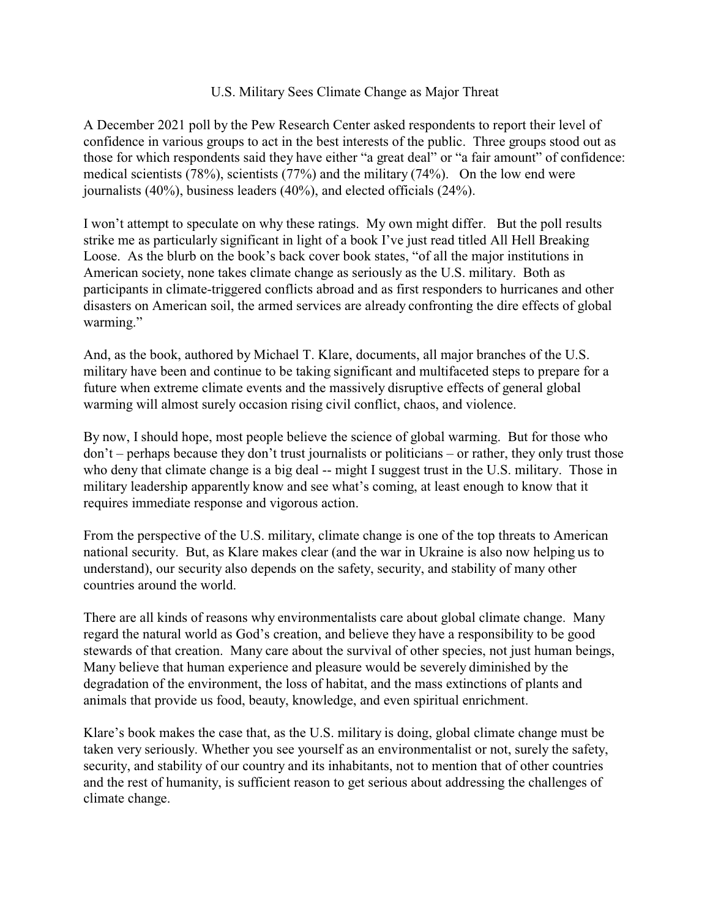## U.S. Military Sees Climate Change as Major Threat

A December 2021 poll by the Pew Research Center asked respondents to report their level of confidence in various groups to act in the best interests of the public. Three groups stood out as those for which respondents said they have either "a great deal" or "a fair amount" of confidence: medical scientists (78%), scientists (77%) and the military (74%). On the low end were journalists (40%), business leaders (40%), and elected officials (24%).

I won't attempt to speculate on why these ratings. My own might differ. But the poll results strike me as particularly significant in light of a book I've just read titled All Hell Breaking Loose. As the blurb on the book's back cover book states, "of all the major institutions in American society, none takes climate change as seriously as the U.S. military. Both as participants in climate-triggered conflicts abroad and as first responders to hurricanes and other disasters on American soil, the armed services are already confronting the dire effects of global warming."

And, as the book, authored by Michael T. Klare, documents, all major branches of the U.S. military have been and continue to be taking significant and multifaceted steps to prepare for a future when extreme climate events and the massively disruptive effects of general global warming will almost surely occasion rising civil conflict, chaos, and violence.

By now, I should hope, most people believe the science of global warming. But for those who don't – perhaps because they don't trust journalists or politicians – or rather, they only trust those who deny that climate change is a big deal -- might I suggest trust in the U.S. military. Those in military leadership apparently know and see what's coming, at least enough to know that it requires immediate response and vigorous action.

From the perspective of the U.S. military, climate change is one of the top threats to American national security. But, as Klare makes clear (and the war in Ukraine is also now helping us to understand), our security also depends on the safety, security, and stability of many other countries around the world.

There are all kinds of reasons why environmentalists care about global climate change. Many regard the natural world as God's creation, and believe they have a responsibility to be good stewards of that creation. Many care about the survival of other species, not just human beings, Many believe that human experience and pleasure would be severely diminished by the degradation of the environment, the loss of habitat, and the mass extinctions of plants and animals that provide us food, beauty, knowledge, and even spiritual enrichment.

Klare's book makes the case that, as the U.S. military is doing, global climate change must be taken very seriously. Whether you see yourself as an environmentalist or not, surely the safety, security, and stability of our country and its inhabitants, not to mention that of other countries and the rest of humanity, is sufficient reason to get serious about addressing the challenges of climate change.